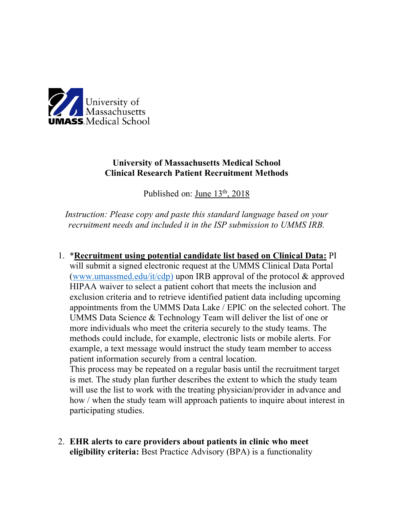

participating studies.

## **University of Massachusetts Medical School Clinical Research Patient Recruitment Methods**

Published on: June 13<sup>th</sup>, 2018

*Instruction: Please copy and paste this standard language based on your recruitment needs and included it in the ISP submission to UMMS IRB.*

1. \***Recruitment using potential candidate list based on Clinical Data:** PI will submit a signed electronic request at the UMMS Clinical Data Portal (www.umassmed.edu/it/cdp) upon IRB approval of the protocol & approved HIPAA waiver to select a patient cohort that meets the inclusion and exclusion criteria and to retrieve identified patient data including upcoming appointments from the UMMS Data Lake / EPIC on the selected cohort. The UMMS Data Science & Technology Team will deliver the list of one or more individuals who meet the criteria securely to the study teams. The methods could include, for example, electronic lists or mobile alerts. For example, a text message would instruct the study team member to access patient information securely from a central location. This process may be repeated on a regular basis until the recruitment target is met. The study plan further describes the extent to which the study team will use the list to work with the treating physician/provider in advance and

how / when the study team will approach patients to inquire about interest in

2. **EHR alerts to care providers about patients in clinic who meet eligibility criteria:** Best Practice Advisory (BPA) is a functionality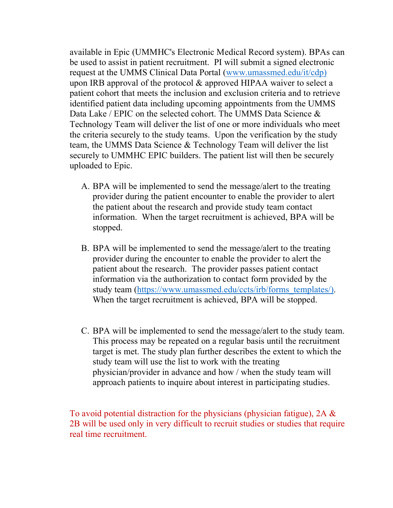available in Epic (UMMHC's Electronic Medical Record system). BPAs can be used to assist in patient recruitment. PI will submit a signed electronic request at the UMMS Clinical Data Portal (www.umassmed.edu/it/cdp) upon IRB approval of the protocol & approved HIPAA waiver to select a patient cohort that meets the inclusion and exclusion criteria and to retrieve identified patient data including upcoming appointments from the UMMS Data Lake / EPIC on the selected cohort. The UMMS Data Science & Technology Team will deliver the list of one or more individuals who meet the criteria securely to the study teams. Upon the verification by the study team, the UMMS Data Science & Technology Team will deliver the list securely to UMMHC EPIC builders. The patient list will then be securely uploaded to Epic.

- A. BPA will be implemented to send the message/alert to the treating provider during the patient encounter to enable the provider to alert the patient about the research and provide study team contact information. When the target recruitment is achieved, BPA will be stopped.
- B. BPA will be implemented to send the message/alert to the treating provider during the encounter to enable the provider to alert the patient about the research. The provider passes patient contact information via the authorization to contact form provided by the study team (https://www.umassmed.edu/ccts/irb/forms\_templates/). When the target recruitment is achieved, BPA will be stopped.
- C. BPA will be implemented to send the message/alert to the study team. This process may be repeated on a regular basis until the recruitment target is met. The study plan further describes the extent to which the study team will use the list to work with the treating physician/provider in advance and how / when the study team will approach patients to inquire about interest in participating studies.

To avoid potential distraction for the physicians (physician fatigue),  $2A \&$ 2B will be used only in very difficult to recruit studies or studies that require real time recruitment.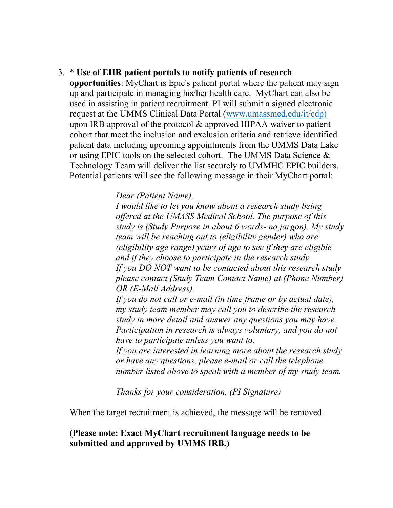## 3. \* **Use of EHR patient portals to notify patients of research**

**opportunities**: MyChart is Epic's patient portal where the patient may sign up and participate in managing his/her health care. MyChart can also be used in assisting in patient recruitment. PI will submit a signed electronic request at the UMMS Clinical Data Portal (www.umassmed.edu/it/cdp) upon IRB approval of the protocol & approved HIPAA waiver to patient cohort that meet the inclusion and exclusion criteria and retrieve identified patient data including upcoming appointments from the UMMS Data Lake or using EPIC tools on the selected cohort. The UMMS Data Science & Technology Team will deliver the list securely to UMMHC EPIC builders. Potential patients will see the following message in their MyChart portal:

*Dear (Patient Name),*

*I would like to let you know about a research study being offered at the UMASS Medical School. The purpose of this study is (Study Purpose in about 6 words- no jargon). My study team will be reaching out to (eligibility gender) who are (eligibility age range) years of age to see if they are eligible and if they choose to participate in the research study. If you DO NOT want to be contacted about this research study please contact (Study Team Contact Name) at (Phone Number) OR (E-Mail Address).*

*If you do not call or e-mail (in time frame or by actual date), my study team member may call you to describe the research study in more detail and answer any questions you may have. Participation in research is always voluntary, and you do not have to participate unless you want to.* 

*If you are interested in learning more about the research study or have any questions, please e-mail or call the telephone number listed above to speak with a member of my study team.*

*Thanks for your consideration, (PI Signature)*

When the target recruitment is achieved, the message will be removed.

## **(Please note: Exact MyChart recruitment language needs to be submitted and approved by UMMS IRB.)**